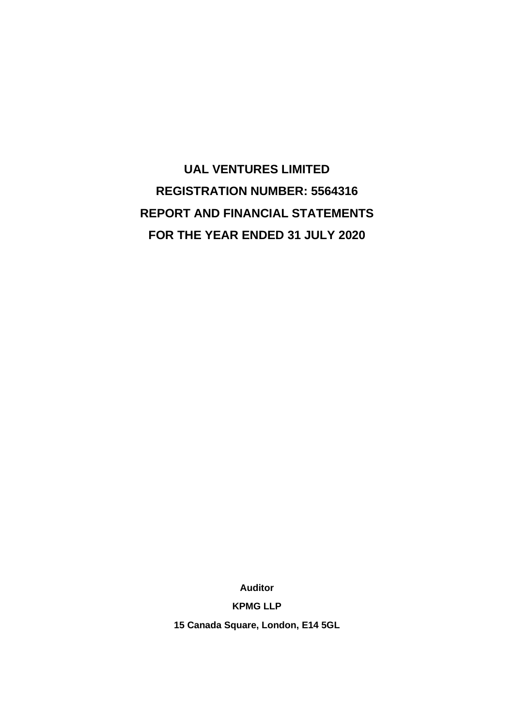# **UAL VENTURES LIMITED REGISTRATION NUMBER: 5564316 REPORT AND FINANCIAL STATEMENTS FOR THE YEAR ENDED 31 JULY 2020**

**Auditor**

**KPMG LLP**

**15 Canada Square, London, E14 5GL**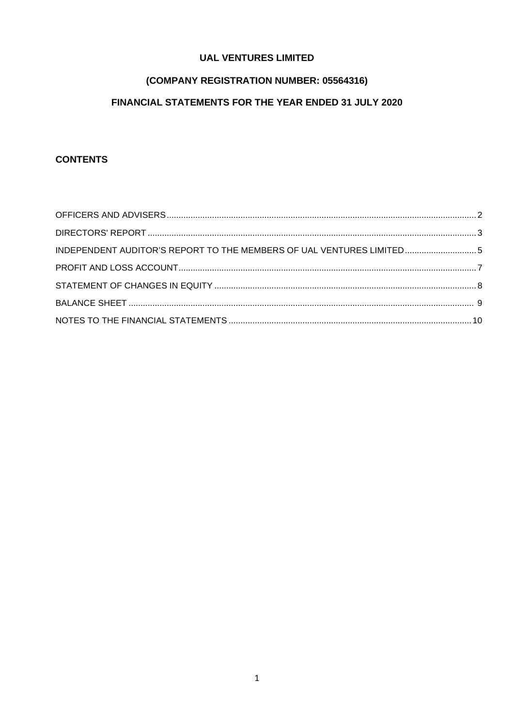# (COMPANY REGISTRATION NUMBER: 05564316)

# FINANCIAL STATEMENTS FOR THE YEAR ENDED 31 JULY 2020

# **CONTENTS**

| INDEPENDENT AUDITOR'S REPORT TO THE MEMBERS OF UAL VENTURES LIMITED 5 |  |
|-----------------------------------------------------------------------|--|
|                                                                       |  |
|                                                                       |  |
|                                                                       |  |
|                                                                       |  |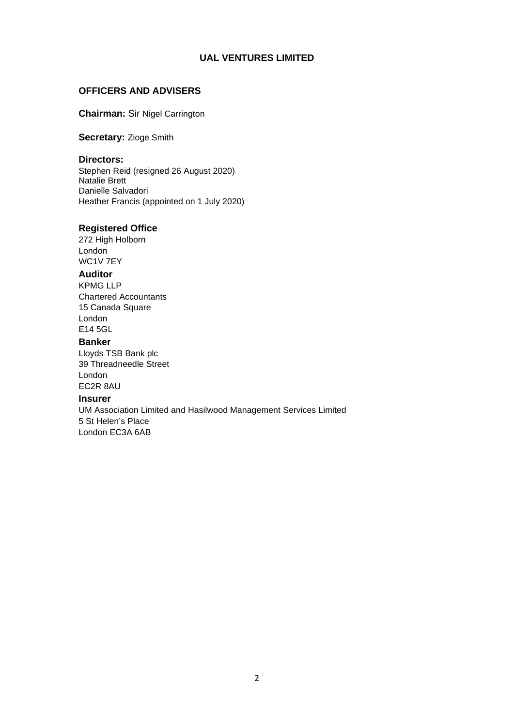## <span id="page-2-0"></span>**OFFICERS AND ADVISERS**

#### **Chairman:** Sir Nigel Carrington

**Secretary: Zioge Smith** 

#### **Directors:**

Stephen Reid (resigned 26 August 2020) Natalie Brett Danielle Salvadori Heather Francis (appointed on 1 July 2020)

#### **Registered Office**

272 High Holborn London WC1V 7EY

#### **Auditor**

KPMG LLP Chartered Accountants 15 Canada Square London E14 5GL

#### **Banker**

Lloyds TSB Bank plc 39 Threadneedle Street London EC2R 8AU

#### **Insurer**

UM Association Limited and Hasilwood Management Services Limited 5 St Helen's Place London EC3A 6AB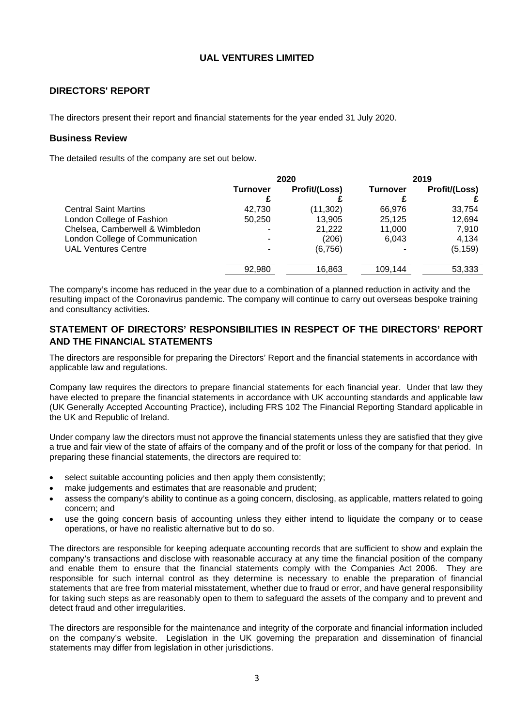#### <span id="page-3-0"></span>**DIRECTORS' REPORT**

The directors present their report and financial statements for the year ended 31 July 2020.

#### **Business Review**

The detailed results of the company are set out below.

|                                 | 2020            |               |                 | 2019          |
|---------------------------------|-----------------|---------------|-----------------|---------------|
|                                 | <b>Turnover</b> | Profit/(Loss) | <b>Turnover</b> | Profit/(Loss) |
|                                 |                 |               |                 |               |
| <b>Central Saint Martins</b>    | 42,730          | (11, 302)     | 66.976          | 33,754        |
| London College of Fashion       | 50,250          | 13,905        | 25,125          | 12,694        |
| Chelsea, Camberwell & Wimbledon |                 | 21,222        | 11,000          | 7,910         |
| London College of Communication |                 | (206)         | 6.043           | 4,134         |
| <b>UAL Ventures Centre</b>      |                 | (6,756)       |                 | (5, 159)      |
|                                 | 92,980          | 16,863        | 109.144         | 53,333        |

The company's income has reduced in the year due to a combination of a planned reduction in activity and the resulting impact of the Coronavirus pandemic. The company will continue to carry out overseas bespoke training and consultancy activities.

#### **STATEMENT OF DIRECTORS' RESPONSIBILITIES IN RESPECT OF THE DIRECTORS' REPORT AND THE FINANCIAL STATEMENTS**

The directors are responsible for preparing the Directors' Report and the financial statements in accordance with applicable law and regulations.

Company law requires the directors to prepare financial statements for each financial year. Under that law they have elected to prepare the financial statements in accordance with UK accounting standards and applicable law (UK Generally Accepted Accounting Practice), including FRS 102 The Financial Reporting Standard applicable in the UK and Republic of Ireland.

Under company law the directors must not approve the financial statements unless they are satisfied that they give a true and fair view of the state of affairs of the company and of the profit or loss of the company for that period. In preparing these financial statements, the directors are required to:

- select suitable accounting policies and then apply them consistently;
- make judgements and estimates that are reasonable and prudent:
- assess the company's ability to continue as a going concern, disclosing, as applicable, matters related to going concern; and
- use the going concern basis of accounting unless they either intend to liquidate the company or to cease operations, or have no realistic alternative but to do so.

The directors are responsible for keeping adequate accounting records that are sufficient to show and explain the company's transactions and disclose with reasonable accuracy at any time the financial position of the company and enable them to ensure that the financial statements comply with the Companies Act 2006. They are responsible for such internal control as they determine is necessary to enable the preparation of financial statements that are free from material misstatement, whether due to fraud or error, and have general responsibility for taking such steps as are reasonably open to them to safeguard the assets of the company and to prevent and detect fraud and other irregularities.

The directors are responsible for the maintenance and integrity of the corporate and financial information included on the company's website. Legislation in the UK governing the preparation and dissemination of financial statements may differ from legislation in other jurisdictions.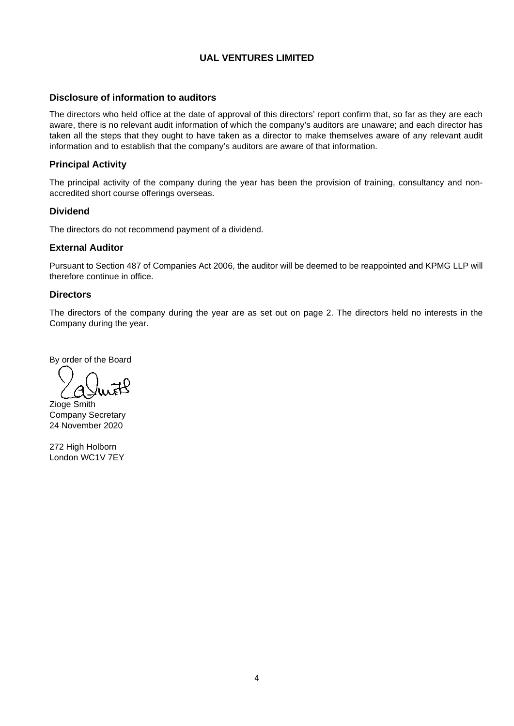#### **Disclosure of information to auditors**

The directors who held office at the date of approval of this directors' report confirm that, so far as they are each aware, there is no relevant audit information of which the company's auditors are unaware; and each director has taken all the steps that they ought to have taken as a director to make themselves aware of any relevant audit information and to establish that the company's auditors are aware of that information.

## **Principal Activity**

The principal activity of the company during the year has been the provision of training, consultancy and nonaccredited short course offerings overseas.

#### **Dividend**

The directors do not recommend payment of a dividend.

#### **External Auditor**

Pursuant to Section 487 of Companies Act 2006, the auditor will be deemed to be reappointed and KPMG LLP will therefore continue in office.

#### **Directors**

The directors of the company during the year are as set out on page 2. The directors held no interests in the Company during the year.

By order of the Board

Zioge Smith Company Secretary 24 November 2020

272 High Holborn London WC1V 7EY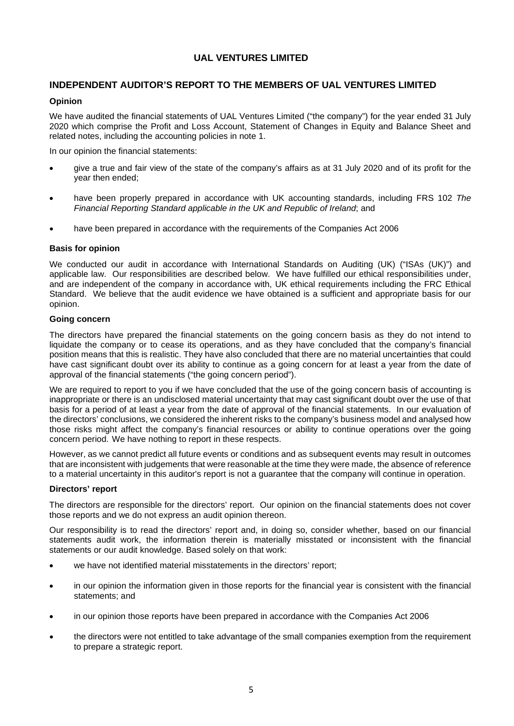#### <span id="page-5-0"></span>**INDEPENDENT AUDITOR'S REPORT TO THE MEMBERS OF UAL VENTURES LIMITED**

#### **Opinion**

We have audited the financial statements of UAL Ventures Limited ("the company") for the year ended 31 July 2020 which comprise the Profit and Loss Account, Statement of Changes in Equity and Balance Sheet and related notes, including the accounting policies in note 1.

In our opinion the financial statements:

- give a true and fair view of the state of the company's affairs as at 31 July 2020 and of its profit for the year then ended;
- have been properly prepared in accordance with UK accounting standards, including FRS 102 *The Financial Reporting Standard applicable in the UK and Republic of Ireland*; and
- have been prepared in accordance with the requirements of the Companies Act 2006

#### **Basis for opinion**

We conducted our audit in accordance with International Standards on Auditing (UK) ("ISAs (UK)") and applicable law. Our responsibilities are described below. We have fulfilled our ethical responsibilities under, and are independent of the company in accordance with, UK ethical requirements including the FRC Ethical Standard. We believe that the audit evidence we have obtained is a sufficient and appropriate basis for our opinion.

#### **Going concern**

The directors have prepared the financial statements on the going concern basis as they do not intend to liquidate the company or to cease its operations, and as they have concluded that the company's financial position means that this is realistic. They have also concluded that there are no material uncertainties that could have cast significant doubt over its ability to continue as a going concern for at least a year from the date of approval of the financial statements ("the going concern period").

We are required to report to you if we have concluded that the use of the going concern basis of accounting is inappropriate or there is an undisclosed material uncertainty that may cast significant doubt over the use of that basis for a period of at least a year from the date of approval of the financial statements. In our evaluation of the directors' conclusions, we considered the inherent risks to the company's business model and analysed how those risks might affect the company's financial resources or ability to continue operations over the going concern period. We have nothing to report in these respects.

However, as we cannot predict all future events or conditions and as subsequent events may result in outcomes that are inconsistent with judgements that were reasonable at the time they were made, the absence of reference to a material uncertainty in this auditor's report is not a guarantee that the company will continue in operation.

#### **Directors' report**

The directors are responsible for the directors' report. Our opinion on the financial statements does not cover those reports and we do not express an audit opinion thereon.

Our responsibility is to read the directors' report and, in doing so, consider whether, based on our financial statements audit work, the information therein is materially misstated or inconsistent with the financial statements or our audit knowledge. Based solely on that work:

- we have not identified material misstatements in the directors' report;
- in our opinion the information given in those reports for the financial year is consistent with the financial statements; and
- in our opinion those reports have been prepared in accordance with the Companies Act 2006
- the directors were not entitled to take advantage of the small companies exemption from the requirement to prepare a strategic report.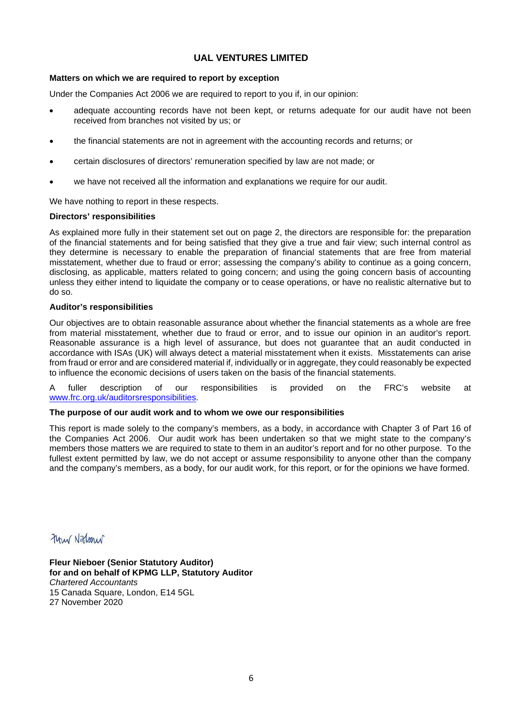#### **Matters on which we are required to report by exception**

Under the Companies Act 2006 we are required to report to you if, in our opinion:

- adequate accounting records have not been kept, or returns adequate for our audit have not been received from branches not visited by us; or
- the financial statements are not in agreement with the accounting records and returns; or
- certain disclosures of directors' remuneration specified by law are not made; or
- we have not received all the information and explanations we require for our audit.

We have nothing to report in these respects.

#### **Directors' responsibilities**

As explained more fully in their statement set out on page 2, the directors are responsible for: the preparation of the financial statements and for being satisfied that they give a true and fair view; such internal control as they determine is necessary to enable the preparation of financial statements that are free from material misstatement, whether due to fraud or error; assessing the company's ability to continue as a going concern, disclosing, as applicable, matters related to going concern; and using the going concern basis of accounting unless they either intend to liquidate the company or to cease operations, or have no realistic alternative but to do so.

#### **Auditor's responsibilities**

Our objectives are to obtain reasonable assurance about whether the financial statements as a whole are free from material misstatement, whether due to fraud or error, and to issue our opinion in an auditor's report. Reasonable assurance is a high level of assurance, but does not guarantee that an audit conducted in accordance with ISAs (UK) will always detect a material misstatement when it exists. Misstatements can arise from fraud or error and are considered material if, individually or in aggregate, they could reasonably be expected to influence the economic decisions of users taken on the basis of the financial statements.

A fuller description of our responsibilities is provided on the FRC's website at [www.frc.org.uk/auditorsresponsibilities.](http://www.frc.org.uk/auditorsresponsibilities) 

#### **The purpose of our audit work and to whom we owe our responsibilities**

This report is made solely to the company's members, as a body, in accordance with Chapter 3 of Part 16 of the Companies Act 2006. Our audit work has been undertaken so that we might state to the company's members those matters we are required to state to them in an auditor's report and for no other purpose. To the fullest extent permitted by law, we do not accept or assume responsibility to anyone other than the company and the company's members, as a body, for our audit work, for this report, or for the opinions we have formed.

Frank National

**Fleur Nieboer (Senior Statutory Auditor) for and on behalf of KPMG LLP, Statutory Auditor**  *Chartered Accountants*  15 Canada Square, London, E14 5GL 27 November 2020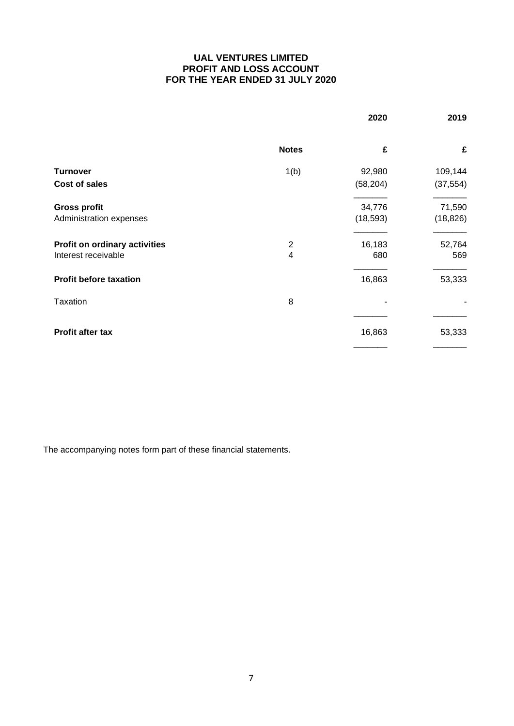## **UAL VENTURES LIMITED PROFIT AND LOSS ACCOUNT FOR THE YEAR ENDED 31 JULY 2020**

<span id="page-7-0"></span>

|                               |                | 2020      | 2019      |
|-------------------------------|----------------|-----------|-----------|
|                               | <b>Notes</b>   | £         | £         |
| <b>Turnover</b>               | 1(b)           | 92,980    | 109,144   |
| <b>Cost of sales</b>          |                | (58, 204) | (37, 554) |
| <b>Gross profit</b>           |                | 34,776    | 71,590    |
| Administration expenses       |                | (18, 593) | (18, 826) |
| Profit on ordinary activities | $\overline{2}$ | 16,183    | 52,764    |
| Interest receivable           | 4              | 680       | 569       |
| <b>Profit before taxation</b> |                | 16,863    | 53,333    |
| Taxation                      | 8              |           |           |
|                               |                |           |           |
| <b>Profit after tax</b>       |                | 16,863    | 53,333    |

<span id="page-7-1"></span>The accompanying notes form part of these financial statements.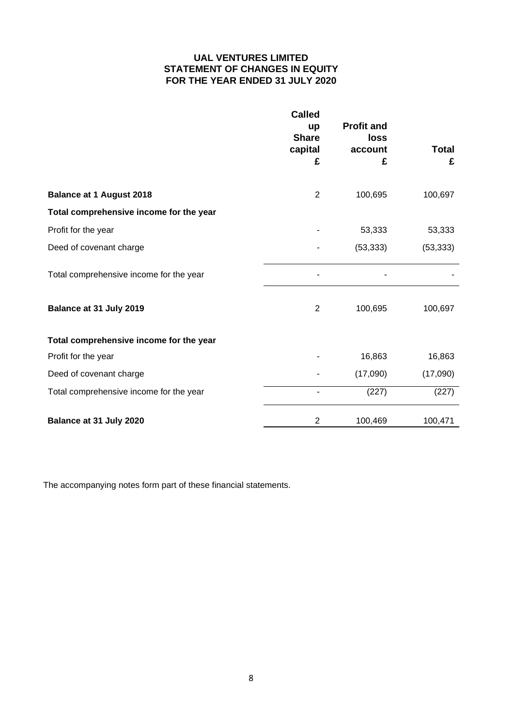## **UAL VENTURES LIMITED STATEMENT OF CHANGES IN EQUITY FOR THE YEAR ENDED 31 JULY 2020**

|                                         | <b>Called</b><br>up<br><b>Share</b><br>capital<br>£ | <b>Profit and</b><br>loss<br>account<br>£ | <b>Total</b><br>£ |
|-----------------------------------------|-----------------------------------------------------|-------------------------------------------|-------------------|
| <b>Balance at 1 August 2018</b>         | $\overline{c}$                                      | 100,695                                   | 100,697           |
| Total comprehensive income for the year |                                                     |                                           |                   |
| Profit for the year                     |                                                     | 53,333                                    | 53,333            |
| Deed of covenant charge                 |                                                     | (53, 333)                                 | (53, 333)         |
| Total comprehensive income for the year |                                                     |                                           |                   |
| Balance at 31 July 2019                 | $\overline{2}$                                      | 100,695                                   | 100,697           |
| Total comprehensive income for the year |                                                     |                                           |                   |
| Profit for the year                     |                                                     | 16,863                                    | 16,863            |
| Deed of covenant charge                 |                                                     | (17,090)                                  | (17,090)          |
| Total comprehensive income for the year |                                                     | (227)                                     | (227)             |
| Balance at 31 July 2020                 | $\overline{2}$                                      | 100,469                                   | 100,471           |

The accompanying notes form part of these financial statements.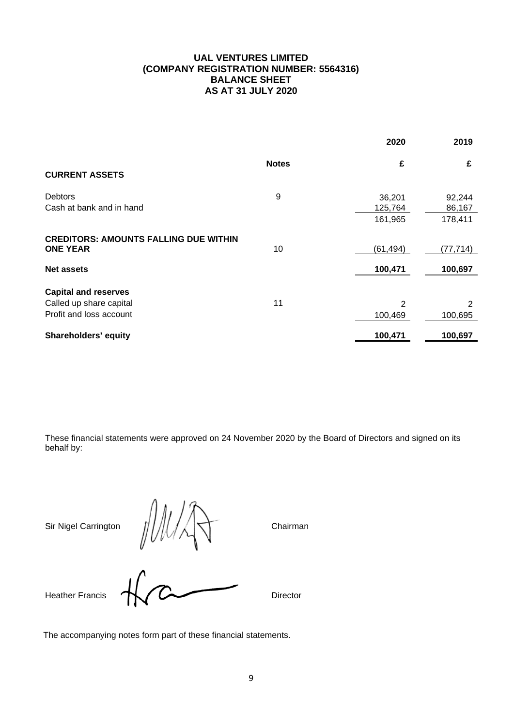#### **UAL VENTURES LIMITED (COMPANY REGISTRATION NUMBER: 5564316) BALANCE SHEET AS AT 31 JULY 2020**

<span id="page-9-0"></span>

|                                                                                   |              | 2020                         | 2019                        |
|-----------------------------------------------------------------------------------|--------------|------------------------------|-----------------------------|
| <b>CURRENT ASSETS</b>                                                             | <b>Notes</b> | £                            | £                           |
| <b>Debtors</b><br>Cash at bank and in hand                                        | 9            | 36,201<br>125,764<br>161,965 | 92,244<br>86,167<br>178,411 |
| <b>CREDITORS: AMOUNTS FALLING DUE WITHIN</b><br><b>ONE YEAR</b>                   | 10           | (61, 494)                    | (77, 714)                   |
| <b>Net assets</b>                                                                 |              | 100,471                      | 100,697                     |
| <b>Capital and reserves</b><br>Called up share capital<br>Profit and loss account | 11           | 2<br>100,469                 | 2<br>100,695                |
| <b>Shareholders' equity</b>                                                       |              | 100,471                      | 100,697                     |

These financial statements were approved on 24 November 2020 by the Board of Directors and signed on its behalf by:

Sir Nigel Carrington

Chairman

Heather Francis

**Director** 

The accompanying notes form part of these financial statements.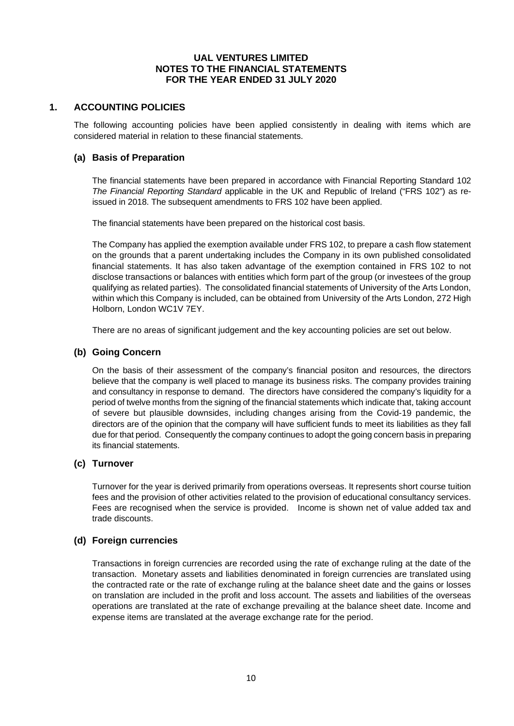#### <span id="page-10-0"></span>**1. ACCOUNTING POLICIES**

The following accounting policies have been applied consistently in dealing with items which are considered material in relation to these financial statements.

#### **(a) Basis of Preparation**

The financial statements have been prepared in accordance with Financial Reporting Standard 102 *The Financial Reporting Standard* applicable in the UK and Republic of Ireland ("FRS 102") as reissued in 2018. The subsequent amendments to FRS 102 have been applied.

The financial statements have been prepared on the historical cost basis.

The Company has applied the exemption available under FRS 102, to prepare a cash flow statement on the grounds that a parent undertaking includes the Company in its own published consolidated financial statements. It has also taken advantage of the exemption contained in FRS 102 to not disclose transactions or balances with entities which form part of the group (or investees of the group qualifying as related parties). The consolidated financial statements of University of the Arts London, within which this Company is included, can be obtained from University of the Arts London, 272 High Holborn, London WC1V 7EY.

There are no areas of significant judgement and the key accounting policies are set out below.

#### **(b) Going Concern**

On the basis of their assessment of the company's financial positon and resources, the directors believe that the company is well placed to manage its business risks. The company provides training and consultancy in response to demand. The directors have considered the company's liquidity for a period of twelve months from the signing of the financial statements which indicate that, taking account of severe but plausible downsides, including changes arising from the Covid-19 pandemic, the directors are of the opinion that the company will have sufficient funds to meet its liabilities as they fall due for that period. Consequently the company continues to adopt the going concern basis in preparing its financial statements.

#### **(c) Turnover**

Turnover for the year is derived primarily from operations overseas. It represents short course tuition fees and the provision of other activities related to the provision of educational consultancy services. Fees are recognised when the service is provided. Income is shown net of value added tax and trade discounts.

## **(d) Foreign currencies**

Transactions in foreign currencies are recorded using the rate of exchange ruling at the date of the transaction. Monetary assets and liabilities denominated in foreign currencies are translated using the contracted rate or the rate of exchange ruling at the balance sheet date and the gains or losses on translation are included in the profit and loss account. The assets and liabilities of the overseas operations are translated at the rate of exchange prevailing at the balance sheet date. Income and expense items are translated at the average exchange rate for the period.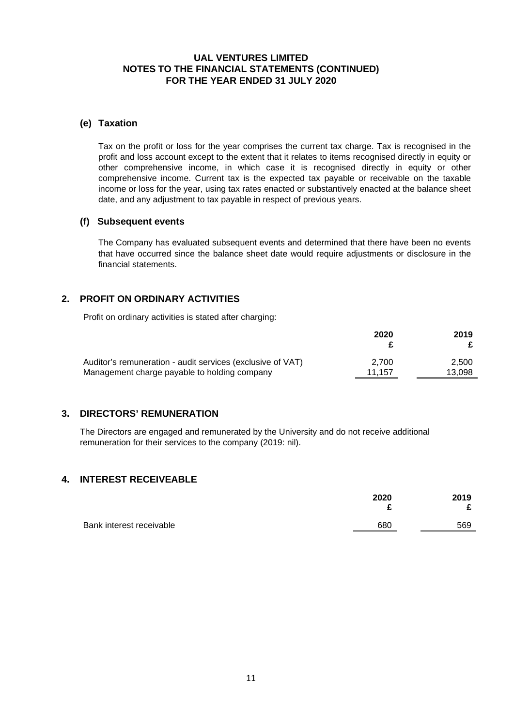#### **(e) Taxation**

Tax on the profit or loss for the year comprises the current tax charge. Tax is recognised in the profit and loss account except to the extent that it relates to items recognised directly in equity or other comprehensive income, in which case it is recognised directly in equity or other comprehensive income. Current tax is the expected tax payable or receivable on the taxable income or loss for the year, using tax rates enacted or substantively enacted at the balance sheet date, and any adjustment to tax payable in respect of previous years.

#### **(f) Subsequent events**

The Company has evaluated subsequent events and determined that there have been no events that have occurred since the balance sheet date would require adjustments or disclosure in the financial statements.

# **2. PROFIT ON ORDINARY ACTIVITIES**

Profit on ordinary activities is stated after charging:

|                                                            | 2020   | 2019   |
|------------------------------------------------------------|--------|--------|
|                                                            |        |        |
| Auditor's remuneration - audit services (exclusive of VAT) | 2.700  | 2.500  |
| Management charge payable to holding company               | 11.157 | 13.098 |

## **3. DIRECTORS' REMUNERATION**

The Directors are engaged and remunerated by the University and do not receive additional remuneration for their services to the company (2019: nil).

## **4. INTEREST RECEIVEABLE**

|                          |     | £   |
|--------------------------|-----|-----|
| Bank interest receivable | 680 | 569 |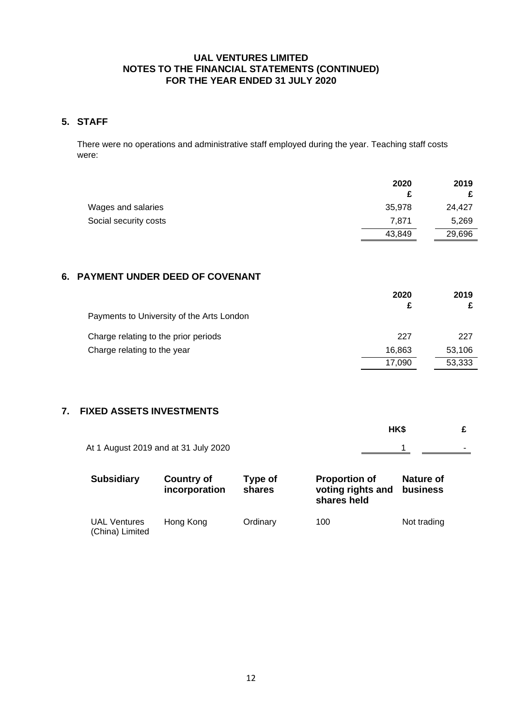# **5. STAFF**

There were no operations and administrative staff employed during the year. Teaching staff costs were:

|                       | 2020   | 2019   |
|-----------------------|--------|--------|
|                       |        |        |
| Wages and salaries    | 35,978 | 24.427 |
| Social security costs | 7.871  | 5,269  |
|                       | 43,849 | 29,696 |

## **6. PAYMENT UNDER DEED OF COVENANT**

|                                           | 2020   | 2019   |
|-------------------------------------------|--------|--------|
|                                           | c      |        |
| Payments to University of the Arts London |        |        |
| Charge relating to the prior periods      | 227    | 227    |
| Charge relating to the year               | 16,863 | 53,106 |
|                                           | 17.090 | 53,333 |

## **7. FIXED ASSETS INVESTMENTS**

|                                      | HK\$ |   |
|--------------------------------------|------|---|
| At 1 August 2019 and at 31 July 2020 |      | ۰ |

| <b>Subsidiary</b>                      | <b>Country of</b><br>incorporation | Type of<br>shares | <b>Proportion of</b><br>voting rights and<br>shares held | <b>Nature of</b><br>business |
|----------------------------------------|------------------------------------|-------------------|----------------------------------------------------------|------------------------------|
| <b>UAL Ventures</b><br>(China) Limited | Hong Kong                          | Ordinary          | 100                                                      | Not trading                  |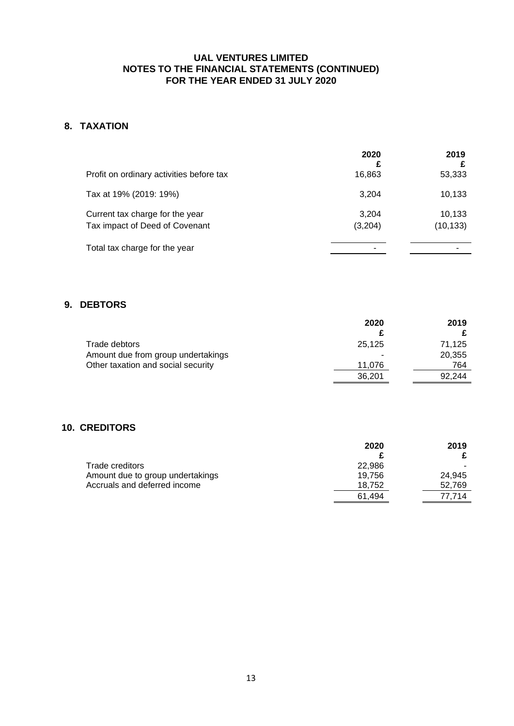# **8. TAXATION**

|                                          | 2020<br>£ | 2019      |
|------------------------------------------|-----------|-----------|
| Profit on ordinary activities before tax | 16,863    | 53,333    |
| Tax at 19% (2019: 19%)                   | 3,204     | 10,133    |
| Current tax charge for the year          | 3,204     | 10,133    |
| Tax impact of Deed of Covenant           | (3,204)   | (10, 133) |
| Total tax charge for the year            |           |           |

## **9. DEBTORS**

| 2020   | 2019   |
|--------|--------|
|        |        |
| 25.125 | 71,125 |
|        | 20,355 |
| 11.076 | 764    |
| 36.201 | 92.244 |
|        |        |

## **10. CREDITORS**

|                                  | 2020   | 2019   |
|----------------------------------|--------|--------|
|                                  |        |        |
| Trade creditors                  | 22,986 |        |
| Amount due to group undertakings | 19.756 | 24.945 |
| Accruals and deferred income     | 18,752 | 52,769 |
|                                  | 61.494 | 77.714 |
|                                  |        |        |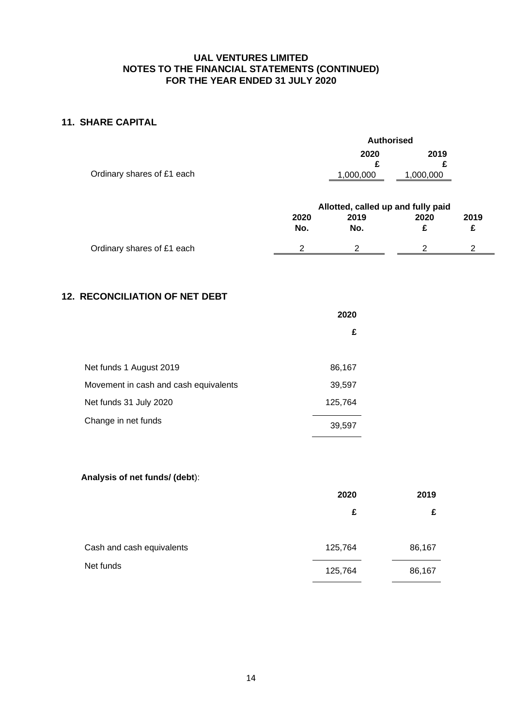# **11. SHARE CAPITAL**

|                                       |      | <b>Authorised</b>                  |                |                |
|---------------------------------------|------|------------------------------------|----------------|----------------|
|                                       |      | 2020<br>£                          | 2019<br>£      |                |
| Ordinary shares of £1 each            |      | 1,000,000                          | 1,000,000      |                |
|                                       |      | Allotted, called up and fully paid |                |                |
|                                       | 2020 | 2019                               | 2020           | 2019           |
|                                       | No.  | No.                                | £              | £              |
| Ordinary shares of £1 each            | 2    | 2                                  | $\overline{2}$ | $\overline{2}$ |
|                                       |      |                                    |                |                |
| <b>12. RECONCILIATION OF NET DEBT</b> |      |                                    |                |                |
|                                       |      | 2020                               |                |                |
|                                       |      | £                                  |                |                |
|                                       |      |                                    |                |                |

| Net funds 1 August 2019               | 86,167  |
|---------------------------------------|---------|
| Movement in cash and cash equivalents | 39.597  |
| Net funds 31 July 2020                | 125.764 |
| Change in net funds                   | 39,597  |

## **Analysis of net funds/ (debt**):

|                           | 2020    | 2019   |
|---------------------------|---------|--------|
|                           | £       | £      |
| Cash and cash equivalents | 125,764 | 86,167 |
| Net funds                 |         |        |
|                           | 125,764 | 86,167 |